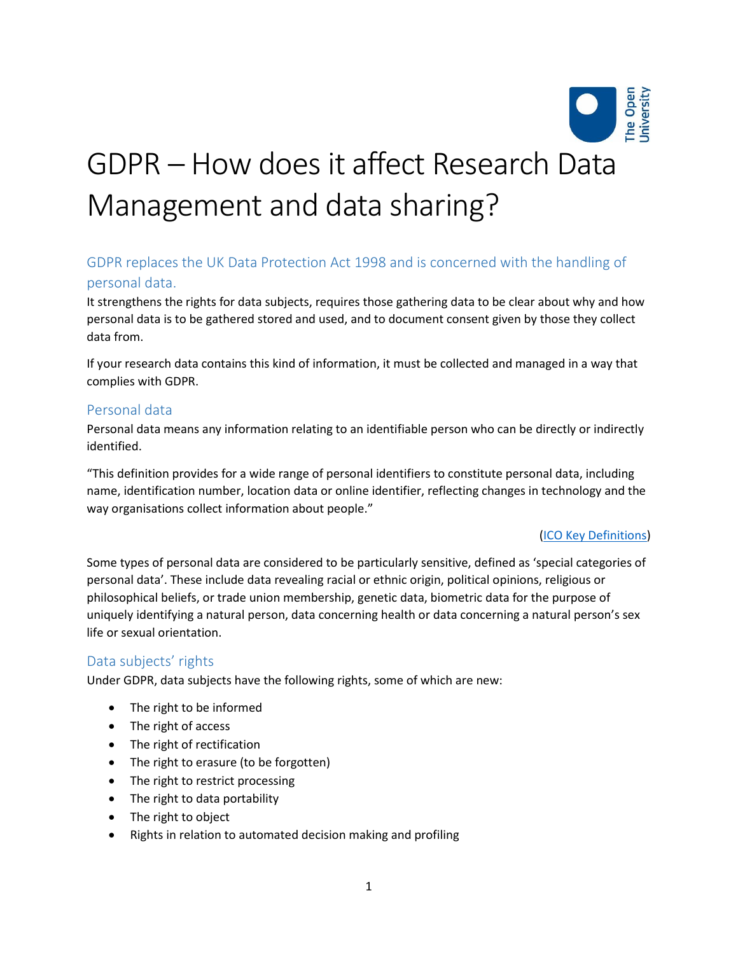

# GDPR – How does it affect Research Data Management and data sharing?

# GDPR replaces the UK Data Protection Act 1998 and is concerned with the handling of personal data.

It strengthens the rights for data subjects, requires those gathering data to be clear about why and how personal data is to be gathered stored and used, and to document consent given by those they collect data from.

If your research data contains this kind of information, it must be collected and managed in a way that complies with GDPR.

# Personal data

Personal data means any information relating to an identifiable person who can be directly or indirectly identified.

"This definition provides for a wide range of personal identifiers to constitute personal data, including name, identification number, location data or online identifier, reflecting changes in technology and the way organisations collect information about people."

## [\(ICO Key Definitions\)](https://ico.org.uk/for-organisations/guide-to-the-general-data-protection-regulation-gdpr/key-definitions/)

Some types of personal data are considered to be particularly sensitive, defined as 'special categories of personal data'. These include data revealing racial or ethnic origin, political opinions, religious or philosophical beliefs, or trade union membership, genetic data, biometric data for the purpose of uniquely identifying a natural person, data concerning health or data concerning a natural person's sex life or sexual orientation.

# Data subjects' rights

Under GDPR, data subjects have the following rights, some of which are new:

- The right to be informed
- The right of access
- The right of rectification
- The right to erasure (to be forgotten)
- The right to restrict processing
- The right to data portability
- The right to object
- Rights in relation to automated decision making and profiling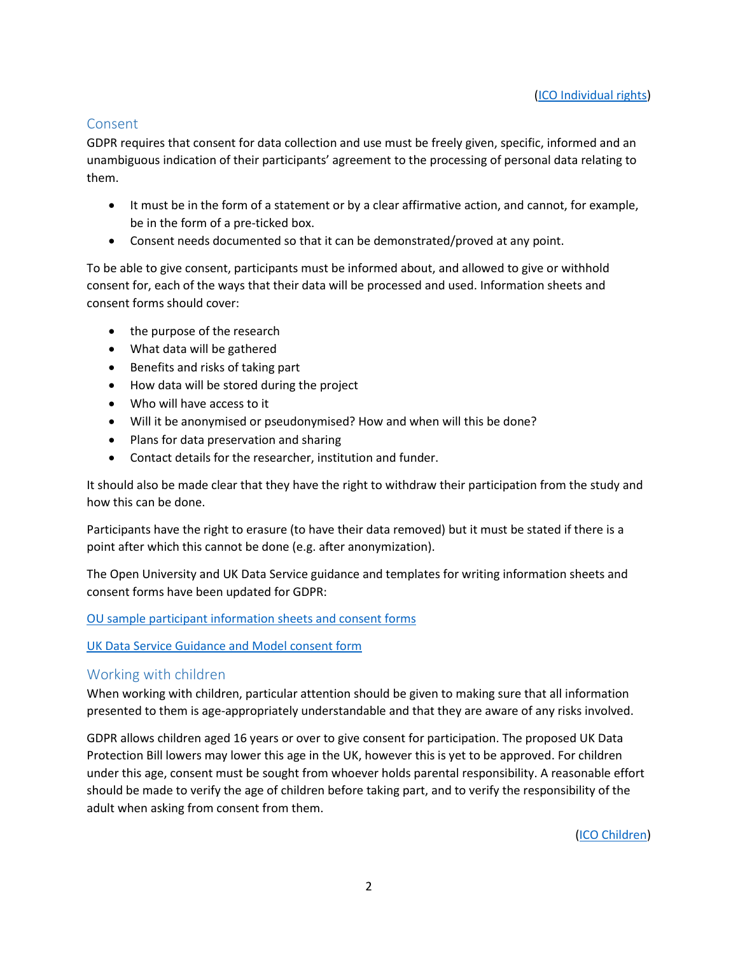## Consent

GDPR requires that consent for data collection and use must be freely given, specific, informed and an unambiguous indication of their participants' agreement to the processing of personal data relating to them.

- It must be in the form of a statement or by a clear affirmative action, and cannot, for example, be in the form of a pre-ticked box.
- Consent needs documented so that it can be demonstrated/proved at any point.

To be able to give consent, participants must be informed about, and allowed to give or withhold consent for, each of the ways that their data will be processed and used. Information sheets and consent forms should cover:

- the purpose of the research
- What data will be gathered
- Benefits and risks of taking part
- How data will be stored during the project
- Who will have access to it
- Will it be anonymised or pseudonymised? How and when will this be done?
- Plans for data preservation and sharing
- Contact details for the researcher, institution and funder.

It should also be made clear that they have the right to withdraw their participation from the study and how this can be done.

Participants have the right to erasure (to have their data removed) but it must be stated if there is a point after which this cannot be done (e.g. after anonymization).

The Open University and UK Data Service guidance and templates for writing information sheets and consent forms have been updated for GDPR:

### [OU sample participant information sheets and consent forms](https://www.open.ac.uk/research/governance/ethics/human/review-process)

### [UK Data Service Guidance and Model consent form](https://ukdataservice.ac.uk/learning-hub/research-data-management/ethical-issues/consent-for-data-sharing/)

## Working with children

When working with children, particular attention should be given to making sure that all information presented to them is age-appropriately understandable and that they are aware of any risks involved.

GDPR allows children aged 16 years or over to give consent for participation. The proposed UK Data Protection Bill lowers may lower this age in the UK, however this is yet to be approved. For children under this age, consent must be sought from whoever holds parental responsibility. A reasonable effort should be made to verify the age of children before taking part, and to verify the responsibility of the adult when asking from consent from them.

[\(ICO Children\)](https://ico.org.uk/for-organisations/guide-to-the-general-data-protection-regulation-gdpr/applications/children/)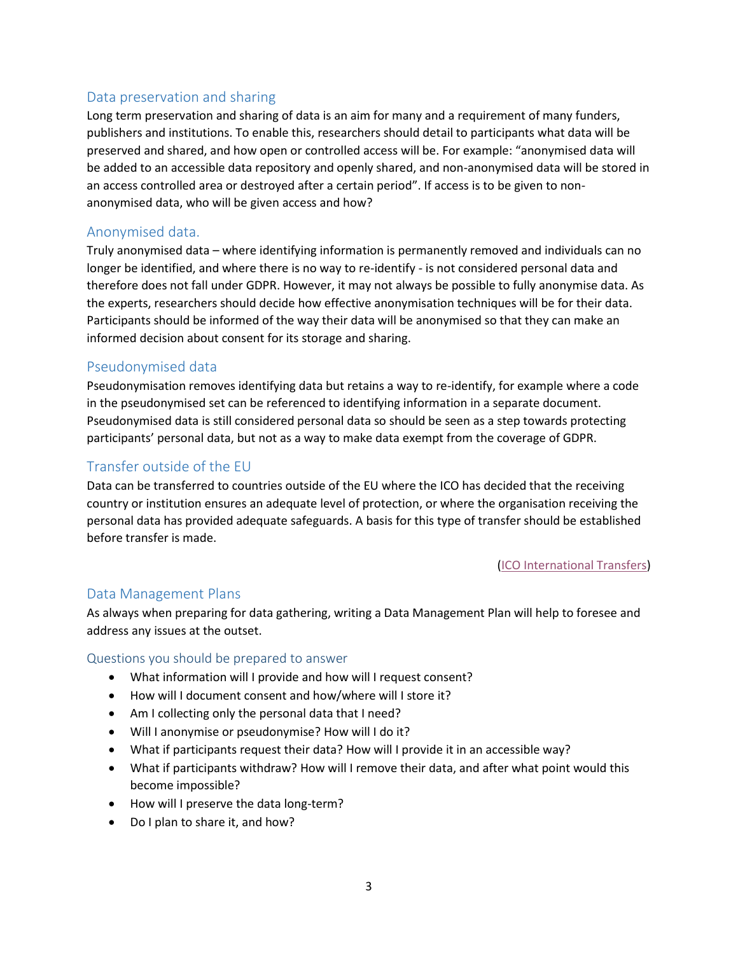# Data preservation and sharing

Long term preservation and sharing of data is an aim for many and a requirement of many funders, publishers and institutions. To enable this, researchers should detail to participants what data will be preserved and shared, and how open or controlled access will be. For example: "anonymised data will be added to an accessible data repository and openly shared, and non-anonymised data will be stored in an access controlled area or destroyed after a certain period". If access is to be given to nonanonymised data, who will be given access and how?

# Anonymised data.

Truly anonymised data – where identifying information is permanently removed and individuals can no longer be identified, and where there is no way to re-identify - is not considered personal data and therefore does not fall under GDPR. However, it may not always be possible to fully anonymise data. As the experts, researchers should decide how effective anonymisation techniques will be for their data. Participants should be informed of the way their data will be anonymised so that they can make an informed decision about consent for its storage and sharing.

# Pseudonymised data

Pseudonymisation removes identifying data but retains a way to re-identify, for example where a code in the pseudonymised set can be referenced to identifying information in a separate document. Pseudonymised data is still considered personal data so should be seen as a step towards protecting participants' personal data, but not as a way to make data exempt from the coverage of GDPR.

# Transfer outside of the EU

Data can be transferred to countries outside of the EU where the ICO has decided that the receiving country or institution ensures an adequate level of protection, or where the organisation receiving the personal data has provided adequate safeguards. A basis for this type of transfer should be established before transfer is made.

### [\(ICO International Transfers\)](https://ico.org.uk/for-organisations/guide-to-the-general-data-protection-regulation-gdpr/international-transfers/)

## Data Management Plans

As always when preparing for data gathering, writing a Data Management Plan will help to foresee and address any issues at the outset.

### Questions you should be prepared to answer

- What information will I provide and how will I request consent?
- How will I document consent and how/where will I store it?
- Am I collecting only the personal data that I need?
- Will I anonymise or pseudonymise? How will I do it?
- What if participants request their data? How will I provide it in an accessible way?
- What if participants withdraw? How will I remove their data, and after what point would this become impossible?
- How will I preserve the data long-term?
- Do I plan to share it, and how?